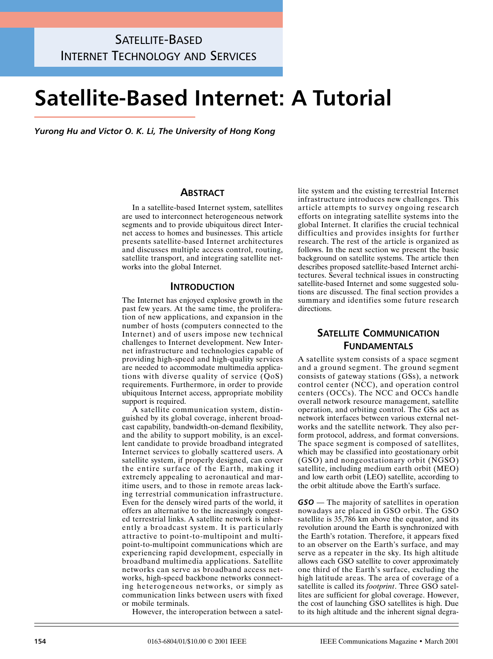# **Satellite-Based Internet: A Tutorial**

*Yurong Hu and Victor O. K. Li, The University of Hong Kong*

## **ABSTRACT**

In a satellite-based Internet system, satellites are used to interconnect heterogeneous network segments and to provide ubiquitous direct Internet access to homes and businesses. This article presents satellite-based Internet architectures and discusses multiple access control, routing, satellite transport, and integrating satellite networks into the global Internet.

## **INTRODUCTION**

The Internet has enjoyed explosive growth in the past few years. At the same time, the proliferation of new applications, and expansion in the number of hosts (computers connected to the Internet) and of users impose new technical challenges to Internet development. New Internet infrastructure and technologies capable of providing high-speed and high-quality services are needed to accommodate multimedia applications with diverse quality of service  $(QoS)$ requirements. Furthermore, in order to provide ubiquitous Internet access, appropriate mobility support is required.

A satellite communication system, distinguished by its global coverage, inherent broadcast capability, bandwidth-on-demand flexibility, and the ability to support mobility, is an excellent candidate to provide broadband integrated Internet services to globally scattered users. A satellite system, if properly designed, can cover the entire surface of the Earth, making it extremely appealing to aeronautical and maritime users, and to those in remote areas lacking terrestrial communication infrastructure. Even for the densely wired parts of the world, it offers an alternative to the increasingly congested terrestrial links. A satellite network is inherently a broadcast system. It is particularly attractive to point-to-multipoint and multipoint-to-multipoint communications which are experiencing rapid development, especially in broadband multimedia applications. Satellite networks can serve as broadband access networks, high-speed backbone networks connecting heterogeneous networks, or simply as communication links between users with fixed or mobile terminals.

However, the interoperation between a satel-

lite system and the existing terrestrial Internet infrastructure introduces new challenges. This article attempts to survey ongoing research efforts on integrating satellite systems into the global Internet. It clarifies the crucial technical difficulties and provides insights for further research. The rest of the article is organized as follows. In the next section we present the basic background on satellite systems. The article then describes proposed satellite-based Internet architectures. Several technical issues in constructing satellite-based Internet and some suggested solutions are discussed. The final section provides a summary and identifies some future research directions.

# **SATELLITE COMMUNICATION FUNDAMENTALS**

A satellite system consists of a space segment and a ground segment. The ground segment consists of gateway stations (GSs), a network control center (NCC), and operation control centers (OCCs). The NCC and OCCs handle overall network resource management, satellite operation, and orbiting control. The GSs act as network interfaces between various external networks and the satellite network. They also perform protocol, address, and format conversions. The space segment is composed of satellites, which may be classified into geostationary orbit (GSO) and nongeostationary orbit (NGSO) satellite, including medium earth orbit (MEO) and low earth orbit (LEO) satellite, according to the orbit altitude above the Earth's surface.

*GSO* — The majority of satellites in operation nowadays are placed in GSO orbit. The GSO satellite is 35,786 km above the equator, and its revolution around the Earth is synchronized with the Earth's rotation. Therefore, it appears fixed to an observer on the Earth's surface, and may serve as a repeater in the sky. Its high altitude allows each GSO satellite to cover approximately one third of the Earth's surface, excluding the high latitude areas. The area of coverage of a satellite is called its *footprint*. Three GSO satellites are sufficient for global coverage. However, the cost of launching GSO satellites is high. Due to its high altitude and the inherent signal degra-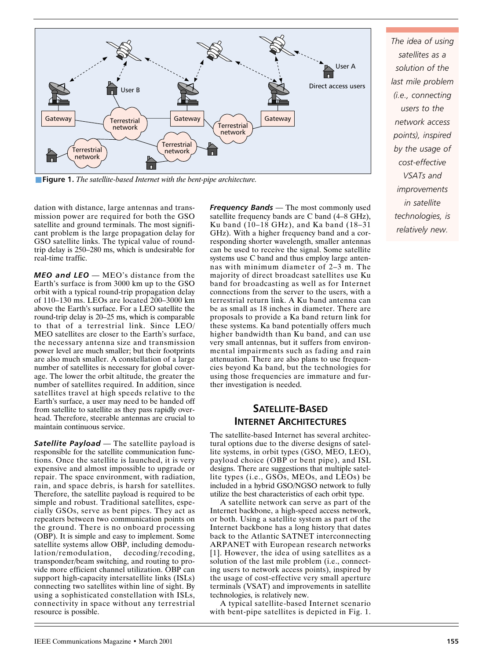

■ **Figure 1.** *The satellite-based Internet with the bent-pipe architecture.* 

dation with distance, large antennas and transmission power are required for both the GSO satellite and ground terminals. The most significant problem is the large propagation delay for GSO satellite links. The typical value of roundtrip delay is 250–280 ms, which is undesirable for real-time traffic.

*MEO and LEO* — MEO's distance from the Earth's surface is from 3000 km up to the GSO orbit with a typical round-trip propagation delay of 110–130 ms. LEOs are located 200–3000 km above the Earth's surface. For a LEO satellite the round-trip delay is 20–25 ms, which is comparable to that of a terrestrial link. Since LEO/ MEO satellites are closer to the Earth's surface, the necessary antenna size and transmission power level are much smaller; but their footprints are also much smaller. A constellation of a large number of satellites is necessary for global coverage. The lower the orbit altitude, the greater the number of satellites required. In addition, since satellites travel at high speeds relative to the Earth's surface, a user may need to be handed off from satellite to satellite as they pass rapidly overhead. Therefore, steerable antennas are crucial to maintain continuous service.

*Satellite Payload* — The satellite payload is responsible for the satellite communication functions. Once the satellite is launched, it is very expensive and almost impossible to upgrade or repair. The space environment, with radiation, rain, and space debris, is harsh for satellites. Therefore, the satellite payload is required to be simple and robust. Traditional satellites, especially GSOs, serve as bent pipes. They act as repeaters between two communication points on the ground. There is no onboard processing (OBP). It is simple and easy to implement. Some satellite systems allow OBP, including demodulation/remodulation, decoding/recoding, transponder/beam switching, and routing to provide more efficient channel utilization. OBP can support high-capacity intersatellite links (ISLs) connecting two satellites within line of sight. By using a sophisticated constellation with ISLs, connectivity in space without any terrestrial resource is possible.

*Frequency Bands* — The most commonly used satellite frequency bands are C band (4–8 GHz), Ku band ( $10-18$  GHz), and Ka band ( $18-31$ GHz). With a higher frequency band and a corresponding shorter wavelength, smaller antennas can be used to receive the signal. Some satellite systems use C band and thus employ large antennas with minimum diameter of 2–3 m. The majority of direct broadcast satellites use Ku band for broadcasting as well as for Internet connections from the server to the users, with a terrestrial return link. A Ku band antenna can be as small as 18 inches in diameter. There are proposals to provide a Ka band return link for these systems. Ka band potentially offers much higher bandwidth than Ku band, and can use very small antennas, but it suffers from environmental impairments such as fading and rain attenuation. There are also plans to use frequencies beyond Ka band, but the technologies for using those frequencies are immature and further investigation is needed.

# **SATELLITE-BASED INTERNET ARCHITECTURES**

The satellite-based Internet has several architectural options due to the diverse designs of satellite systems, in orbit types (GSO, MEO, LEO), payload choice (OBP or bent pipe), and ISL designs. There are suggestions that multiple satellite types (i.e., GSOs, MEOs, and LEOs) be included in a hybrid GSO/NGSO network to fully utilize the best characteristics of each orbit type.

A satellite network can serve as part of the Internet backbone, a high-speed access network, or both. Using a satellite system as part of the Internet backbone has a long history that dates back to the Atlantic SATNET interconnecting ARPANET with European research networks [1]. However, the idea of using satellites as a solution of the last mile problem (i.e., connecting users to network access points), inspired by the usage of cost-effective very small aperture terminals (VSAT) and improvements in satellite technologies, is relatively new.

A typical satellite-based Internet scenario with bent-pipe satellites is depicted in Fig. 1. *The idea of using satellites as a solution of the last mile problem (i.e., connecting users to the network access points), inspired by the usage of cost-effective VSATs and improvements in satellite technologies, is relatively new.*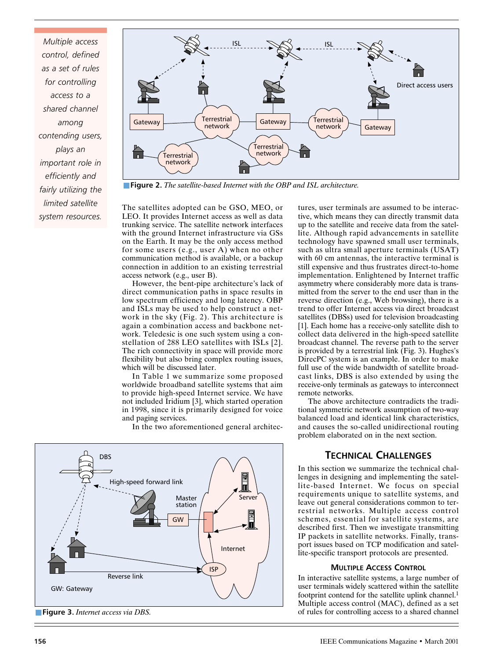*Multiple access control, defined as a set of rules for controlling access to a shared channel among contending users, plays an important role in efficiently and fairly utilizing the limited satellite system resources.*



■ **Figure 2.** *The satellite-based Internet with the OBP and ISL architecture.* 

The satellites adopted can be GSO, MEO, or LEO. It provides Internet access as well as data trunking service. The satellite network interfaces with the ground Internet infrastructure via GSs on the Earth. It may be the only access method for some users (e.g., user A) when no other communication method is available, or a backup connection in addition to an existing terrestrial access network (e.g., user B).

However, the bent-pipe architecture's lack of direct communication paths in space results in low spectrum efficiency and long latency. OBP and ISLs may be used to help construct a network in the sky (Fig. 2). This architecture is again a combination access and backbone network. Teledesic is one such system using a constellation of 288 LEO satellites with ISLs [2]. The rich connectivity in space will provide more flexibility but also bring complex routing issues, which will be discussed later.

In Table 1 we summarize some proposed worldwide broadband satellite systems that aim to provide high-speed Internet service. We have not included Iridium [3], which started operation in 1998, since it is primarily designed for voice and paging services.

In the two aforementioned general architec-



**Figure 3.** *Internet access via DBS.* 

tures, user terminals are assumed to be interactive, which means they can directly transmit data up to the satellite and receive data from the satellite. Although rapid advancements in satellite technology have spawned small user terminals, such as ultra small aperture terminals (USAT) with 60 cm antennas, the interactive terminal is still expensive and thus frustrates direct-to-home implementation. Enlightened by Internet traffic asymmetry where considerably more data is transmitted from the server to the end user than in the reverse direction (e.g., Web browsing), there is a trend to offer Internet access via direct broadcast satellites (DBSs) used for television broadcasting [1]. Each home has a receive-only satellite dish to collect data delivered in the high-speed satellite broadcast channel. The reverse path to the server is provided by a terrestrial link (Fig. 3). Hughes's DirecPC system is an example. In order to make full use of the wide bandwidth of satellite broadcast links, DBS is also extended by using the receive-only terminals as gateways to interconnect remote networks.

The above architecture contradicts the traditional symmetric network assumption of two-way balanced load and identical link characteristics, and causes the so-called unidirectional routing problem elaborated on in the next section.

## **TECHNICAL CHALLENGES**

In this section we summarize the technical challenges in designing and implementing the satellite-based Internet. We focus on special requirements unique to satellite systems, and leave out general considerations common to terrestrial networks. Multiple access control schemes, essential for satellite systems, are described first. Then we investigate transmitting IP packets in satellite networks. Finally, transport issues based on TCP modification and satellite-specific transport protocols are presented.

## **MULTIPLE ACCESS CONTROL**

In interactive satellite systems, a large number of user terminals widely scattered within the satellite footprint contend for the satellite uplink channel.1 Multiple access control (MAC), defined as a set of rules for controlling access to a shared channel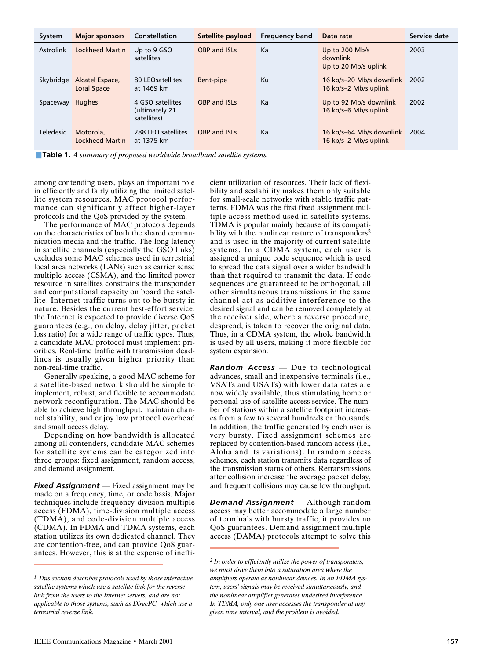| System           | <b>Major sponsors</b>          | <b>Constellation</b>                              | Satellite payload   | <b>Frequency band</b> | Data rate                                          | Service date |
|------------------|--------------------------------|---------------------------------------------------|---------------------|-----------------------|----------------------------------------------------|--------------|
| <b>Astrolink</b> | <b>Lockheed Martin</b>         | Up to 9 GSO<br>satellites                         | <b>OBP and ISLs</b> | Ka                    | Up to 200 Mb/s<br>downlink<br>Up to 20 Mb/s uplink | 2003         |
| Skybridge        | Alcatel Espace,<br>Loral Space | 80 LEOsatellites<br>at 1469 km                    | Bent-pipe           | Ku                    | 16 kb/s-20 Mb/s downlink<br>16 kb/s-2 Mb/s uplink  | 2002         |
| Spaceway         | <b>Hughes</b>                  | 4 GSO satellites<br>(ultimately 21<br>satellites) | OBP and ISLs        | Ka                    | Up to 92 Mb/s downlink<br>16 kb/s-6 Mb/s uplink    | 2002         |
| <b>Teledesic</b> | Motorola.<br>Lockheed Martin   | 288 LEO satellites<br>at 1375 km                  | <b>OBP and ISLs</b> | Ka                    | 16 kb/s-64 Mb/s downlink<br>16 kb/s-2 Mb/s uplink  | 2004         |

■ **Table 1.** *A summary of proposed worldwide broadband satellite systems.* 

among contending users, plays an important role in efficiently and fairly utilizing the limited satellite system resources. MAC protocol performance can significantly affect higher-layer protocols and the QoS provided by the system.

The performance of MAC protocols depends on the characteristics of both the shared communication media and the traffic. The long latency in satellite channels (especially the GSO links) excludes some MAC schemes used in terrestrial local area networks (LANs) such as carrier sense multiple access (CSMA), and the limited power resource in satellites constrains the transponder and computational capacity on board the satellite. Internet traffic turns out to be bursty in nature. Besides the current best-effort service, the Internet is expected to provide diverse QoS guarantees (e.g., on delay, delay jitter, packet loss ratio) for a wide range of traffic types. Thus, a candidate MAC protocol must implement priorities. Real-time traffic with transmission deadlines is usually given higher priority than non-real-time traffic.

Generally speaking, a good MAC scheme for a satellite-based network should be simple to implement, robust, and flexible to accommodate network reconfiguration. The MAC should be able to achieve high throughput, maintain channel stability, and enjoy low protocol overhead and small access delay.

Depending on how bandwidth is allocated among all contenders, candidate MAC schemes for satellite systems can be categorized into three groups: fixed assignment, random access, and demand assignment.

*Fixed Assignment* — Fixed assignment may be made on a frequency, time, or code basis. Major techniques include frequency-division multiple access (FDMA), time-division multiple access (TDMA), and code-division multiple access (CDMA). In FDMA and TDMA systems, each station utilizes its own dedicated channel. They are contention-free, and can provide QoS guarantees. However, this is at the expense of inefficient utilization of resources. Their lack of flexibility and scalability makes them only suitable for small-scale networks with stable traffic patterns. FDMA was the first fixed assignment multiple access method used in satellite systems. TDMA is popular mainly because of its compatibility with the nonlinear nature of transponders<sup>2</sup> and is used in the majority of current satellite systems. In a CDMA system, each user is assigned a unique code sequence which is used to spread the data signal over a wider bandwidth than that required to transmit the data. If code sequences are guaranteed to be orthogonal, all other simultaneous transmissions in the same channel act as additive interference to the desired signal and can be removed completely at the receiver side, where a reverse procedure, despread, is taken to recover the original data. Thus, in a CDMA system, the whole bandwidth is used by all users, making it more flexible for system expansion.

*Random Access* — Due to technological advances, small and inexpensive terminals (i.e., VSATs and USATs) with lower data rates are now widely available, thus stimulating home or personal use of satellite access service. The number of stations within a satellite footprint increases from a few to several hundreds or thousands. In addition, the traffic generated by each user is very bursty. Fixed assignment schemes are replaced by contention-based random access (i.e., Aloha and its variations). In random access schemes, each station transmits data regardless of the transmission status of others. Retransmissions after collision increase the average packet delay, and frequent collisions may cause low throughput.

*Demand Assignment* — Although random access may better accommodate a large number of terminals with bursty traffic, it provides no QoS guarantees. Demand assignment multiple access (DAMA) protocols attempt to solve this

*<sup>1</sup> This section describes protocols used by those interactive satellite systems which use a satellite link for the reverse link from the users to the Internet servers, and are not applicable to those systems, such as DirecPC, which use a terrestrial reverse link.*

*<sup>2</sup> In order to efficiently utilize the power of transponders, we must drive them into a saturation area where the amplifiers operate as nonlinear devices. In an FDMA system, users' signals may be received simultaneously, and the nonlinear amplifier generates undesired interference. In TDMA, only one user accesses the transponder at any given time interval, and the problem is avoided.*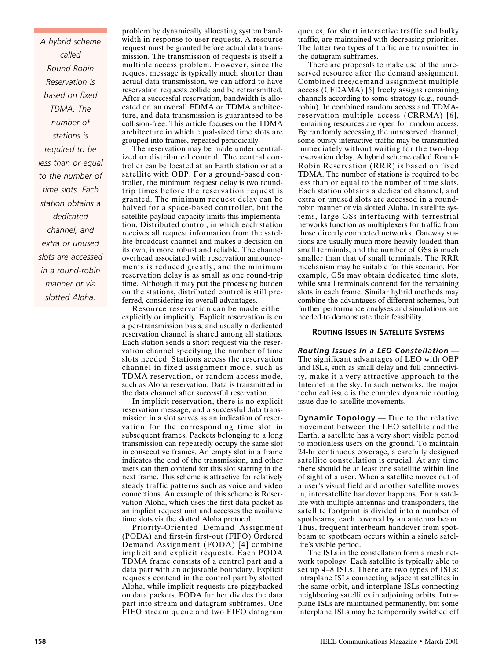*A hybrid scheme called Round-Robin Reservation is based on fixed TDMA. The number of stations is required to be less than or equal to the number of time slots. Each station obtains a dedicated channel, and extra or unused slots are accessed in a round-robin manner or via slotted Aloha.*

problem by dynamically allocating system bandwidth in response to user requests. A resource request must be granted before actual data transmission. The transmission of requests is itself a multiple access problem. However, since the request message is typically much shorter than actual data transmission, we can afford to have reservation requests collide and be retransmitted. After a successful reservation, bandwidth is allocated on an overall FDMA or TDMA architecture, and data transmission is guaranteed to be collision-free. This article focuses on the TDMA architecture in which equal-sized time slots are grouped into frames, repeated periodically.

The reservation may be made under centralized or distributed control. The central controller can be located at an Earth station or at a satellite with OBP. For a ground-based controller, the minimum request delay is two roundtrip times before the reservation request is granted. The minimum request delay can be halved for a space-based controller, but the satellite payload capacity limits this implementation. Distributed control, in which each station receives all request information from the satellite broadcast channel and makes a decision on its own, is more robust and reliable. The channel overhead associated with reservation announcements is reduced greatly, and the minimum reservation delay is as small as one round-trip time. Although it may put the processing burden on the stations, distributed control is still preferred, considering its overall advantages.

Resource reservation can be made either explicitly or implicitly. Explicit reservation is on a per-transmission basis, and usually a dedicated reservation channel is shared among all stations. Each station sends a short request via the reservation channel specifying the number of time slots needed. Stations access the reservation channel in fixed assignment mode, such as TDMA reservation, or random access mode, such as Aloha reservation. Data is transmitted in the data channel after successful reservation.

In implicit reservation, there is no explicit reservation message, and a successful data transmission in a slot serves as an indication of reservation for the corresponding time slot in subsequent frames. Packets belonging to a long transmission can repeatedly occupy the same slot in consecutive frames. An empty slot in a frame indicates the end of the transmission, and other users can then contend for this slot starting in the next frame. This scheme is attractive for relatively steady traffic patterns such as voice and video connections. An example of this scheme is Reservation Aloha, which uses the first data packet as an implicit request unit and accesses the available time slots via the slotted Aloha protocol.

Priority-Oriented Demand Assignment (PODA) and first-in first-out (FIFO) Ordered Demand Assignment (FODA) [4] combine implicit and explicit requests. Each PODA TDMA frame consists of a control part and a data part with an adjustable boundary. Explicit requests contend in the control part by slotted Aloha, while implicit requests are piggybacked on data packets. FODA further divides the data part into stream and datagram subframes. One FIFO stream queue and two FIFO datagram queues, for short interactive traffic and bulky traffic, are maintained with decreasing priorities. The latter two types of traffic are transmitted in the datagram subframes.

There are proposals to make use of the unreserved resource after the demand assignment. Combined free/demand assignment multiple access (CFDAMA) [5] freely assigns remaining channels according to some strategy (e.g., roundrobin). In combined random access and TDMAreservation multiple access (CRRMA) [6], remaining resources are open for random access. By randomly accessing the unreserved channel, some bursty interactive traffic may be transmitted immediately without waiting for the two-hop reservation delay. A hybrid scheme called Round-Robin Reservation (RRR) is based on fixed TDMA. The number of stations is required to be less than or equal to the number of time slots. Each station obtains a dedicated channel, and extra or unused slots are accessed in a roundrobin manner or via slotted Aloha. In satellite systems, large GSs interfacing with terrestrial networks function as multiplexers for traffic from those directly connected networks. Gateway stations are usually much more heavily loaded than small terminals, and the number of GSs is much smaller than that of small terminals. The RRR mechanism may be suitable for this scenario. For example, GSs may obtain dedicated time slots, while small terminals contend for the remaining slots in each frame. Similar hybrid methods may combine the advantages of different schemes, but further performance analyses and simulations are needed to demonstrate their feasibility.

#### **ROUTING ISSUES IN SATELLITE SYSTEMS**

*Routing Issues in a LEO Constellation* — The significant advantages of LEO with OBP and ISLs, such as small delay and full connectivity, make it a very attractive approach to the Internet in the sky. In such networks, the major technical issue is the complex dynamic routing issue due to satellite movements.

**Dynamic Topology** — Due to the relative movement between the LEO satellite and the Earth, a satellite has a very short visible period to motionless users on the ground. To maintain 24-hr continuous coverage, a carefully designed satellite constellation is crucial. At any time there should be at least one satellite within line of sight of a user. When a satellite moves out of a user's visual field and another satellite moves in, intersatellite handover happens. For a satellite with multiple antennas and transponders, the satellite footprint is divided into a number of spotbeams, each covered by an antenna beam. Thus, frequent interbeam handover from spotbeam to spotbeam occurs within a single satellite's visible period.

The ISLs in the constellation form a mesh network topology. Each satellite is typically able to set up 4–8 ISLs. There are two types of ISLs: intraplane ISLs connecting adjacent satellites in the same orbit, and interplane ISLs connecting neighboring satellites in adjoining orbits. Intraplane ISLs are maintained permanently, but some interplane ISLs may be temporarily switched off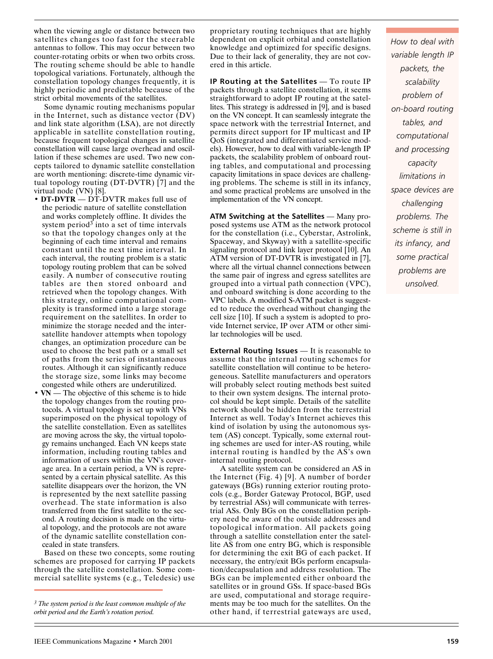when the viewing angle or distance between two satellites changes too fast for the steerable antennas to follow. This may occur between two counter-rotating orbits or when two orbits cross. The routing scheme should be able to handle topological variations. Fortunately, although the constellation topology changes frequently, it is highly periodic and predictable because of the strict orbital movements of the satellites.

Some dynamic routing mechanisms popular in the Internet, such as distance vector (DV) and link state algorithm (LSA), are not directly applicable in satellite constellation routing, because frequent topological changes in satellite constellation will cause large overhead and oscillation if these schemes are used. Two new concepts tailored to dynamic satellite constellation are worth mentioning: discrete-time dynamic virtual topology routing (DT-DVTR) [7] and the virtual node (VN) [8].

- **DT-DVTR** DT-DVTR makes full use of the periodic nature of satellite constellation and works completely offline. It divides the system period $3$  into a set of time intervals so that the topology changes only at the beginning of each time interval and remains constant until the next time interval. In each interval, the routing problem is a static topology routing problem that can be solved easily. A number of consecutive routing tables are then stored onboard and retrieved when the topology changes. With this strategy, online computational complexity is transformed into a large storage requirement on the satellites. In order to minimize the storage needed and the intersatellite handover attempts when topology changes, an optimization procedure can be used to choose the best path or a small set of paths from the series of instantaneous routes. Although it can significantly reduce the storage size, some links may become congested while others are underutilized.
- **VN** The objective of this scheme is to hide the topology changes from the routing protocols. A virtual topology is set up with VNs superimposed on the physical topology of the satellite constellation. Even as satellites are moving across the sky, the virtual topology remains unchanged. Each VN keeps state information, including routing tables and information of users within the VN's coverage area. In a certain period, a VN is represented by a certain physical satellite. As this satellite disappears over the horizon, the VN is represented by the next satellite passing overhead. The state information is also transferred from the first satellite to the second. A routing decision is made on the virtual topology, and the protocols are not aware of the dynamic satellite constellation concealed in state transfers.

Based on these two concepts, some routing schemes are proposed for carrying IP packets through the satellite constellation. Some commercial satellite systems (e.g., Teledesic) use proprietary routing techniques that are highly dependent on explicit orbital and constellation knowledge and optimized for specific designs. Due to their lack of generality, they are not covered in this article.

**IP Routing at the Satellites** — To route IP packets through a satellite constellation, it seems straightforward to adopt IP routing at the satellites. This strategy is addressed in [9], and is based on the VN concept. It can seamlessly integrate the space network with the terrestrial Internet, and permits direct support for IP multicast and IP QoS (integrated and differentiated service models). However, how to deal with variable-length IP packets, the scalability problem of onboard routing tables, and computational and processing capacity limitations in space devices are challenging problems. The scheme is still in its infancy, and some practical problems are unsolved in the implementation of the VN concept.

**ATM Switching at the Satellites** — Many proposed systems use ATM as the network protocol for the constellation (i.e., Cyberstar, Astrolink, Spaceway, and Skyway) with a satellite-specific signaling protocol and link layer protocol [10]. An ATM version of DT-DVTR is investigated in [7], where all the virtual channel connections between the same pair of ingress and egress satellites are grouped into a virtual path connection (VPC), and onboard switching is done according to the VPC labels. A modified S-ATM packet is suggested to reduce the overhead without changing the cell size [10]. If such a system is adopted to provide Internet service, IP over ATM or other similar technologies will be used.

**External Routing Issues** — It is reasonable to assume that the internal routing schemes for satellite constellation will continue to be heterogeneous. Satellite manufacturers and operators will probably select routing methods best suited to their own system designs. The internal protocol should be kept simple. Details of the satellite network should be hidden from the terrestrial Internet as well. Today's Internet achieves this kind of isolation by using the autonomous system (AS) concept. Typically, some external routing schemes are used for inter-AS routing, while internal routing is handled by the AS's own internal routing protocol.

A satellite system can be considered an AS in the Internet (Fig. 4) [9]. A number of border gateways (BGs) running exterior routing protocols (e.g., Border Gateway Protocol, BGP, used by terrestrial ASs) will communicate with terrestrial ASs. Only BGs on the constellation periphery need be aware of the outside addresses and topological information. All packets going through a satellite constellation enter the satellite AS from one entry BG, which is responsible for determining the exit BG of each packet. If necessary, the entry/exit BGs perform encapsulation/decapsulation and address resolution. The BGs can be implemented either onboard the satellites or in ground GSs. If space-based BGs are used, computational and storage requirements may be too much for the satellites. On the other hand, if terrestrial gateways are used, *How to deal with variable length IP packets, the scalability problem of on-board routing tables, and computational and processing capacity limitations in space devices are challenging problems. The scheme is still in its infancy, and some practical problems are unsolved.*

*<sup>3</sup> The system period is the least common multiple of the orbit period and the Earth's rotation period.*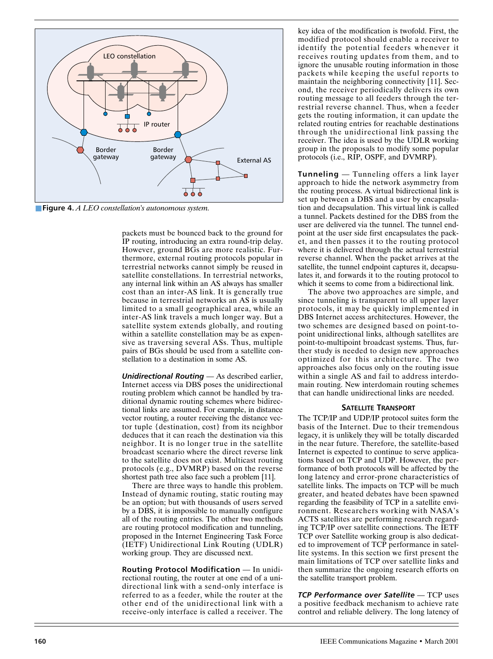

■ **Figure 4.** *A LEO constellation's autonomous system.* 

packets must be bounced back to the ground for IP routing, introducing an extra round-trip delay. However, ground BGs are more realistic. Furthermore, external routing protocols popular in terrestrial networks cannot simply be reused in satellite constellations. In terrestrial networks, any internal link within an AS always has smaller cost than an inter-AS link. It is generally true because in terrestrial networks an AS is usually limited to a small geographical area, while an inter-AS link travels a much longer way. But a satellite system extends globally, and routing within a satellite constellation may be as expensive as traversing several ASs. Thus, multiple pairs of BGs should be used from a satellite constellation to a destination in some AS.

*Unidirectional Routing* — As described earlier, Internet access via DBS poses the unidirectional routing problem which cannot be handled by traditional dynamic routing schemes where bidirectional links are assumed. For example, in distance vector routing, a router receiving the distance vector tuple {destination, cost} from its neighbor deduces that it can reach the destination via this neighbor. It is no longer true in the satellite broadcast scenario where the direct reverse link to the satellite does not exist. Multicast routing protocols (e.g., DVMRP) based on the reverse shortest path tree also face such a problem [11].

There are three ways to handle this problem. Instead of dynamic routing, static routing may be an option; but with thousands of users served by a DBS, it is impossible to manually configure all of the routing entries. The other two methods are routing protocol modification and tunneling, proposed in the Internet Engineering Task Force (IETF) Unidirectional Link Routing (UDLR) working group. They are discussed next.

**Routing Protocol Modification** — In unidirectional routing, the router at one end of a unidirectional link with a send-only interface is referred to as a feeder, while the router at the other end of the unidirectional link with a receive-only interface is called a receiver. The key idea of the modification is twofold. First, the modified protocol should enable a receiver to identify the potential feeders whenever it receives routing updates from them, and to ignore the unusable routing information in those packets while keeping the useful reports to maintain the neighboring connectivity [11]. Second, the receiver periodically delivers its own routing message to all feeders through the terrestrial reverse channel. Thus, when a feeder gets the routing information, it can update the related routing entries for reachable destinations through the unidirectional link passing the receiver. The idea is used by the UDLR working group in the proposals to modify some popular protocols (i.e., RIP, OSPF, and DVMRP).

**Tunneling** — Tunneling offers a link layer approach to hide the network asymmetry from the routing process. A virtual bidirectional link is set up between a DBS and a user by encapsulation and decapsulation. This virtual link is called a tunnel. Packets destined for the DBS from the user are delivered via the tunnel. The tunnel endpoint at the user side first encapsulates the packet, and then passes it to the routing protocol where it is delivered through the actual terrestrial reverse channel. When the packet arrives at the satellite, the tunnel endpoint captures it, decapsulates it, and forwards it to the routing protocol to which it seems to come from a bidirectional link.

The above two approaches are simple, and since tunneling is transparent to all upper layer protocols, it may be quickly implemented in DBS Internet access architectures. However, the two schemes are designed based on point-topoint unidirectional links, although satellites are point-to-multipoint broadcast systems. Thus, further study is needed to design new approaches optimized for this architecture. The two approaches also focus only on the routing issue within a single AS and fail to address interdomain routing. New interdomain routing schemes that can handle unidirectional links are needed.

#### **SATELLITE TRANSPORT**

The TCP/IP and UDP/IP protocol suites form the basis of the Internet. Due to their tremendous legacy, it is unlikely they will be totally discarded in the near future. Therefore, the satellite-based Internet is expected to continue to serve applications based on TCP and UDP. However, the performance of both protocols will be affected by the long latency and error-prone characteristics of satellite links. The impacts on TCP will be much greater, and heated debates have been spawned regarding the feasibility of TCP in a satellite environment. Researchers working with NASA's ACTS satellites are performing research regarding TCP/IP over satellite connections. The IETF TCP over Satellite working group is also dedicated to improvement of TCP performance in satellite systems. In this section we first present the main limitations of TCP over satellite links and then summarize the ongoing research efforts on the satellite transport problem.

*TCP Performance over Satellite* — TCP uses a positive feedback mechanism to achieve rate control and reliable delivery. The long latency of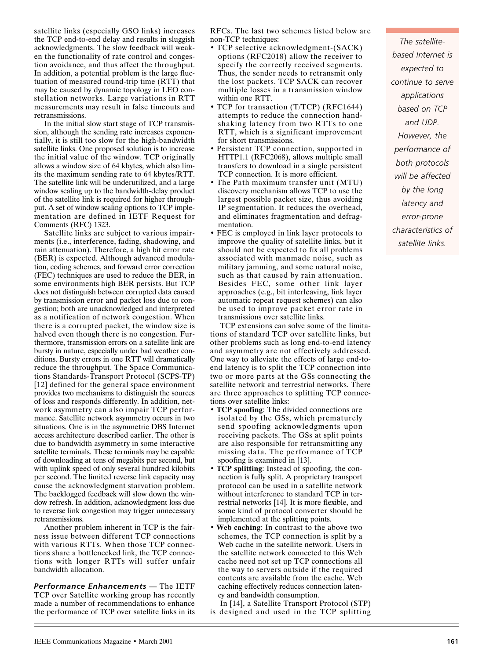satellite links (especially GSO links) increases the TCP end-to-end delay and results in sluggish acknowledgments. The slow feedback will weaken the functionality of rate control and congestion avoidance, and thus affect the throughput. In addition, a potential problem is the large fluctuation of measured round-trip time (RTT) that may be caused by dynamic topology in LEO constellation networks. Large variations in RTT measurements may result in false timeouts and retransmissions.

In the initial slow start stage of TCP transmission, although the sending rate increases exponentially, it is still too slow for the high-bandwidth satellite links. One proposed solution is to increase the initial value of the window. TCP originally allows a window size of 64 kbytes, which also limits the maximum sending rate to 64 kbytes/RTT. The satellite link will be underutilized, and a large window scaling up to the bandwidth-delay product of the satellite link is required for higher throughput. A set of window scaling options to TCP implementation are defined in IETF Request for Comments (RFC) 1323.

Satellite links are subject to various impairments (i.e., interference, fading, shadowing, and rain attenuation). Therefore, a high bit error rate (BER) is expected. Although advanced modulation, coding schemes, and forward error correction (FEC) techniques are used to reduce the BER, in some environments high BER persists. But TCP does not distinguish between corrupted data caused by transmission error and packet loss due to congestion; both are unacknowledged and interpreted as a notification of network congestion. When there is a corrupted packet, the window size is halved even though there is no congestion. Furthermore, transmission errors on a satellite link are bursty in nature, especially under bad weather conditions. Bursty errors in one RTT will dramatically reduce the throughput. The Space Communications Standards-Transport Protocol (SCPS-TP) [12] defined for the general space environment provides two mechanisms to distinguish the sources of loss and responds differently. In addition, network asymmetry can also impair TCP performance. Satellite network asymmetry occurs in two situations. One is in the asymmetric DBS Internet access architecture described earlier. The other is due to bandwidth asymmetry in some interactive satellite terminals. These terminals may be capable of downloading at tens of megabits per second, but with uplink speed of only several hundred kilobits per second. The limited reverse link capacity may cause the acknowledgment starvation problem. The backlogged feedback will slow down the window refresh. In addition, acknowledgment loss due to reverse link congestion may trigger unnecessary retransmissions.

Another problem inherent in TCP is the fairness issue between different TCP connections with various RTTs. When those TCP connections share a bottlenecked link, the TCP connections with longer RTTs will suffer unfair bandwidth allocation.

*Performance Enhancements* — The IETF TCP over Satellite working group has recently made a number of recommendations to enhance the performance of TCP over satellite links in its

RFCs. The last two schemes listed below are non-TCP techniques:

- TCP selective acknowledgment-(SACK) options (RFC2018) allow the receiver to specify the correctly received segments. Thus, the sender needs to retransmit only the lost packets. TCP SACK can recover multiple losses in a transmission window within one RTT.
- TCP for transaction (T/TCP) (RFC1644) attempts to reduce the connection handshaking latency from two RTTs to one RTT, which is a significant improvement for short transmissions.
- Persistent TCP connection, supported in HTTP1.1 (RFC2068), allows multiple small transfers to download in a single persistent TCP connection. It is more efficient.
- The Path maximum transfer unit (MTU) discovery mechanism allows TCP to use the largest possible packet size, thus avoiding IP segmentation. It reduces the overhead, and eliminates fragmentation and defragmentation.
- FEC is employed in link layer protocols to improve the quality of satellite links, but it should not be expected to fix all problems associated with manmade noise, such as military jamming, and some natural noise, such as that caused by rain attenuation. Besides FEC, some other link layer approaches (e.g., bit interleaving, link layer automatic repeat request schemes) can also be used to improve packet error rate in transmissions over satellite links.

TCP extensions can solve some of the limitations of standard TCP over satellite links, but other problems such as long end-to-end latency and asymmetry are not effectively addressed. One way to alleviate the effects of large end-toend latency is to split the TCP connection into two or more parts at the GSs connecting the satellite network and terrestrial networks. There are three approaches to splitting TCP connections over satellite links:

- **TCP spoofing**: The divided connections are isolated by the GSs, which prematurely send spoofing acknowledgments upon receiving packets. The GSs at split points are also responsible for retransmitting any missing data. The performance of TCP spoofing is examined in [13].
- **TCP splitting**: Instead of spoofing, the connection is fully split. A proprietary transport protocol can be used in a satellite network without interference to standard TCP in terrestrial networks [14]. It is more flexible, and some kind of protocol converter should be implemented at the splitting points.
- **Web caching**: In contrast to the above two schemes, the TCP connection is split by a Web cache in the satellite network. Users in the satellite network connected to this Web cache need not set up TCP connections all the way to servers outside if the required contents are available from the cache. Web caching effectively reduces connection latency and bandwidth consumption.

In [14], a Satellite Transport Protocol (STP) is designed and used in the TCP splitting

*The satellitebased Internet is expected to continue to serve applications based on TCP and UDP. However, the performance of both protocols will be affected by the long latency and error-prone characteristics of satellite links.*